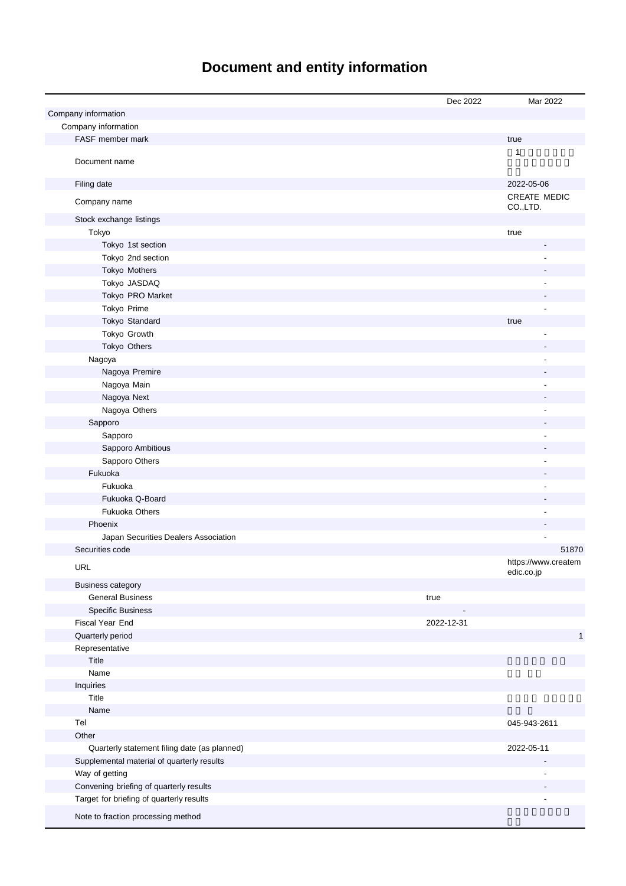# **Document and entity information**

|                                              | Dec 2022   | Mar 2022                          |
|----------------------------------------------|------------|-----------------------------------|
| Company information                          |            |                                   |
| Company information                          |            |                                   |
| FASF member mark                             |            | true                              |
| Document name                                |            | 1                                 |
| Filing date                                  |            | 2022-05-06                        |
| Company name                                 |            | <b>CREATE MEDIC</b><br>CO.,LTD.   |
| Stock exchange listings                      |            |                                   |
| Tokyo                                        |            | true                              |
| Tokyo 1st section                            |            |                                   |
| Tokyo 2nd section                            |            |                                   |
| Tokyo Mothers                                |            |                                   |
| Tokyo JASDAQ                                 |            |                                   |
| Tokyo PRO Market                             |            |                                   |
| Tokyo Prime                                  |            |                                   |
| Tokyo Standard                               |            | true                              |
| Tokyo Growth                                 |            |                                   |
| Tokyo Others                                 |            |                                   |
| Nagoya                                       |            |                                   |
| Nagoya Premire                               |            |                                   |
| Nagoya Main                                  |            |                                   |
| Nagoya Next                                  |            |                                   |
| Nagoya Others                                |            | ٠                                 |
| Sapporo                                      |            |                                   |
| Sapporo                                      |            | ÷,                                |
| Sapporo Ambitious                            |            |                                   |
| Sapporo Others                               |            | ٠                                 |
| Fukuoka                                      |            |                                   |
| Fukuoka                                      |            | $\blacksquare$                    |
| Fukuoka Q-Board                              |            |                                   |
| <b>Fukuoka Others</b>                        |            | $\blacksquare$                    |
| Phoenix                                      |            |                                   |
| Japan Securities Dealers Association         |            |                                   |
| Securities code                              |            | 51870                             |
| URL<br><b>Business category</b>              |            | https://www.createm<br>edic.co.jp |
| <b>General Business</b>                      | true       |                                   |
| <b>Specific Business</b>                     |            |                                   |
| Fiscal Year End                              | 2022-12-31 |                                   |
| Quarterly period                             |            | $\mathbf{1}$                      |
| Representative                               |            |                                   |
| Title                                        |            |                                   |
| Name                                         |            |                                   |
| Inquiries                                    |            |                                   |
| Title                                        |            |                                   |
| Name                                         |            |                                   |
| Tel                                          |            | 045-943-2611                      |
| Other                                        |            |                                   |
| Quarterly statement filing date (as planned) |            | 2022-05-11                        |
| Supplemental material of quarterly results   |            |                                   |
| Way of getting                               |            |                                   |
| Convening briefing of quarterly results      |            |                                   |
| Target for briefing of quarterly results     |            |                                   |
| Note to fraction processing method           |            |                                   |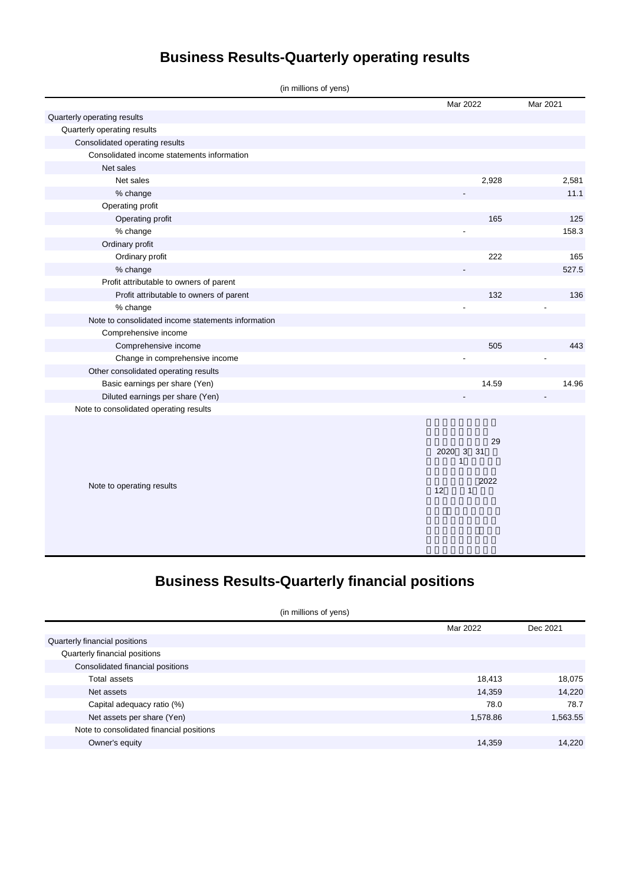# **Business Results-Quarterly operating results**

| (in millions of yens)                              |          |          |  |  |
|----------------------------------------------------|----------|----------|--|--|
|                                                    | Mar 2022 | Mar 2021 |  |  |
| Quarterly operating results                        |          |          |  |  |
| Quarterly operating results                        |          |          |  |  |
| Consolidated operating results                     |          |          |  |  |
| Consolidated income statements information         |          |          |  |  |
| Net sales                                          |          |          |  |  |
| Net sales                                          | 2,928    | 2,581    |  |  |
| % change                                           |          | 11.1     |  |  |
| Operating profit                                   |          |          |  |  |
| Operating profit                                   | 165      | 125      |  |  |
| % change                                           |          | 158.3    |  |  |
| Ordinary profit                                    |          |          |  |  |
| Ordinary profit                                    | 222      | 165      |  |  |
| % change                                           |          | 527.5    |  |  |
| Profit attributable to owners of parent            |          |          |  |  |
| Profit attributable to owners of parent            | 132      | 136      |  |  |
| % change                                           |          |          |  |  |
| Note to consolidated income statements information |          |          |  |  |
| Comprehensive income                               |          |          |  |  |
| Comprehensive income                               | 505      | 443      |  |  |
| Change in comprehensive income                     |          |          |  |  |
| Other consolidated operating results               |          |          |  |  |
| Basic earnings per share (Yen)                     | 14.59    | 14.96    |  |  |
| Diluted earnings per share (Yen)                   |          |          |  |  |
| Note to consolidated operating results             |          |          |  |  |
|                                                    |          |          |  |  |
|                                                    |          |          |  |  |

|                           | 2020 3 31 |   |      | 29 |
|---------------------------|-----------|---|------|----|
| Note to operating results | 12        | 1 | 2022 |    |

## **Business Results-Quarterly financial positions**

|  |  |  |  | (in millions of yens) |
|--|--|--|--|-----------------------|
|--|--|--|--|-----------------------|

|                                          | Mar 2022 | Dec 2021 |
|------------------------------------------|----------|----------|
| Quarterly financial positions            |          |          |
| Quarterly financial positions            |          |          |
| Consolidated financial positions         |          |          |
| Total assets                             | 18,413   | 18,075   |
| Net assets                               | 14,359   | 14,220   |
| Capital adequacy ratio (%)               | 78.0     | 78.7     |
| Net assets per share (Yen)               | 1,578.86 | 1,563.55 |
| Note to consolidated financial positions |          |          |
| Owner's equity                           | 14.359   | 14.220   |
|                                          |          |          |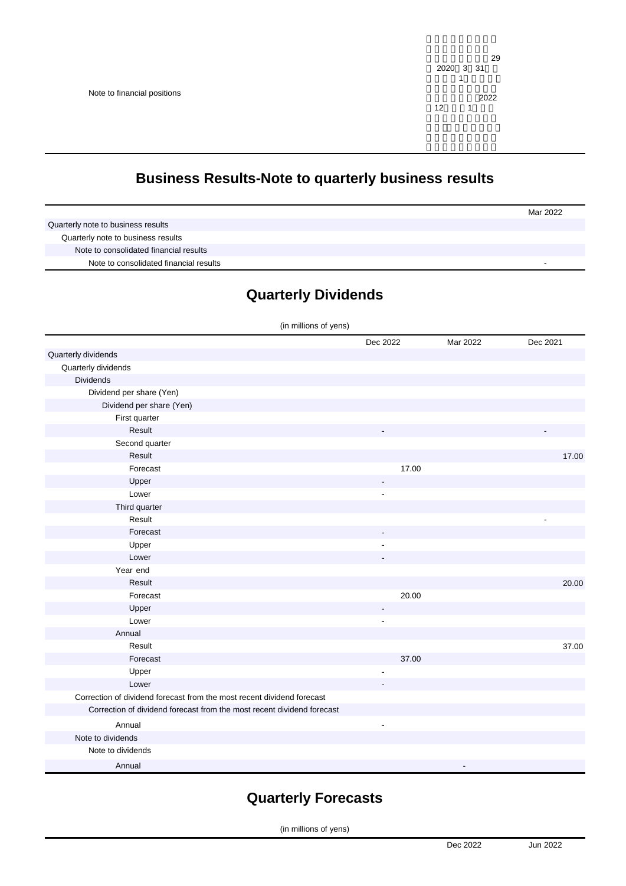#### **Business Results-Note to quarterly business results**

|                                        | Mar 2022 |
|----------------------------------------|----------|
| Quarterly note to business results     |          |
| Quarterly note to business results     |          |
| Note to consolidated financial results |          |
| Note to consolidated financial results |          |

#### **Quarterly Dividends**

| (in millions of yens)                                                  |                |          |          |
|------------------------------------------------------------------------|----------------|----------|----------|
|                                                                        | Dec 2022       | Mar 2022 | Dec 2021 |
| Quarterly dividends                                                    |                |          |          |
| Quarterly dividends                                                    |                |          |          |
| <b>Dividends</b>                                                       |                |          |          |
| Dividend per share (Yen)                                               |                |          |          |
| Dividend per share (Yen)                                               |                |          |          |
| First quarter                                                          |                |          |          |
| Result                                                                 |                |          |          |
| Second quarter                                                         |                |          |          |
| Result                                                                 |                |          | 17.00    |
| Forecast                                                               | 17.00          |          |          |
| Upper                                                                  | $\overline{a}$ |          |          |
| Lower                                                                  | ÷,             |          |          |
| Third quarter                                                          |                |          |          |
| Result                                                                 |                |          |          |
| Forecast                                                               |                |          |          |
| Upper                                                                  |                |          |          |
| Lower                                                                  |                |          |          |
| Year end                                                               |                |          |          |
| Result                                                                 |                |          | 20.00    |
| Forecast                                                               | 20.00          |          |          |
| Upper                                                                  |                |          |          |
| Lower                                                                  | ٠              |          |          |
| Annual                                                                 |                |          |          |
| Result                                                                 |                |          | 37.00    |
| Forecast                                                               | 37.00          |          |          |
| Upper                                                                  |                |          |          |
| Lower                                                                  |                |          |          |
| Correction of dividend forecast from the most recent dividend forecast |                |          |          |
| Correction of dividend forecast from the most recent dividend forecast |                |          |          |
| Annual                                                                 | ÷,             |          |          |
| Note to dividends                                                      |                |          |          |
| Note to dividends                                                      |                |          |          |
| Annual                                                                 |                |          |          |

## **Quarterly Forecasts**

(in millions of yens)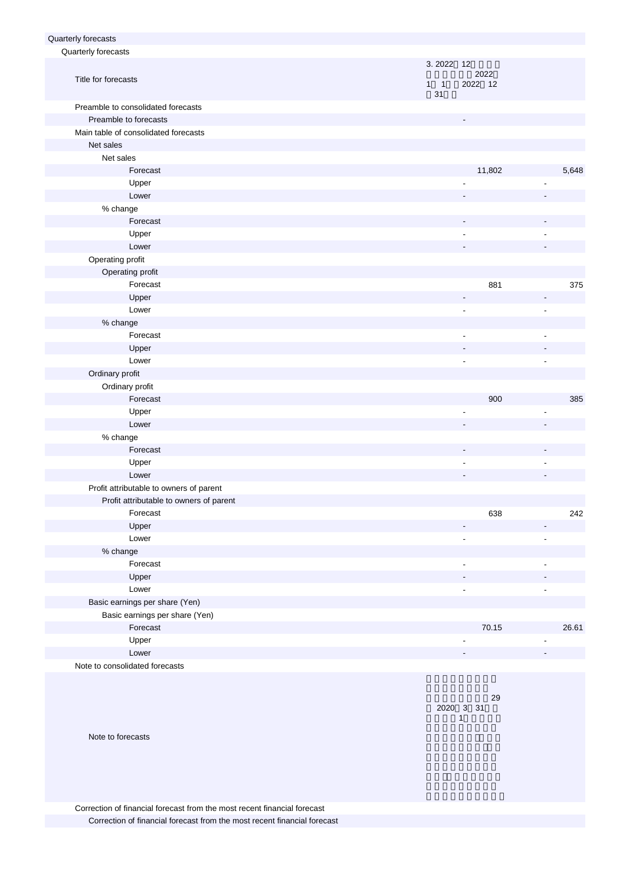| Quarterly forecasts                     |                                |                              |                          |
|-----------------------------------------|--------------------------------|------------------------------|--------------------------|
| Quarterly forecasts                     |                                |                              |                          |
| Title for forecasts                     | 3.2022 12<br>$1 \quad 1$<br>31 | 2022<br>2022 12              |                          |
| Preamble to consolidated forecasts      |                                |                              |                          |
| Preamble to forecasts                   |                                |                              |                          |
| Main table of consolidated forecasts    |                                |                              |                          |
| Net sales                               |                                |                              |                          |
| Net sales                               |                                |                              |                          |
| Forecast                                |                                | 11,802                       | 5,648                    |
| Upper                                   |                                |                              |                          |
| Lower                                   |                                |                              |                          |
| % change                                |                                |                              |                          |
| Forecast                                |                                |                              |                          |
| Upper                                   |                                |                              |                          |
| Lower                                   |                                |                              |                          |
| Operating profit                        |                                |                              |                          |
| Operating profit                        |                                |                              |                          |
| Forecast                                |                                | 881                          | 375                      |
| Upper                                   |                                | $\overline{\phantom{a}}$     | $\overline{\phantom{a}}$ |
| Lower                                   |                                |                              | $\overline{\phantom{a}}$ |
| % change                                |                                |                              |                          |
| Forecast                                |                                | $\overline{\phantom{a}}$     |                          |
| Upper                                   |                                |                              |                          |
| Lower                                   |                                | $\qquad \qquad \blacksquare$ | $\overline{\phantom{a}}$ |
| Ordinary profit                         |                                |                              |                          |
| Ordinary profit                         |                                |                              |                          |
| Forecast                                |                                | 900                          | 385                      |
| Upper                                   |                                |                              |                          |
| Lower                                   |                                |                              |                          |
| % change                                |                                |                              |                          |
| Forecast                                |                                |                              |                          |
| Upper                                   |                                | $\qquad \qquad \blacksquare$ |                          |
| Lower                                   |                                |                              |                          |
| Profit attributable to owners of parent |                                |                              |                          |
| Profit attributable to owners of parent |                                |                              |                          |
| Forecast                                |                                | 638                          | 242                      |
| Upper                                   |                                |                              |                          |
| Lower                                   |                                |                              | ÷,                       |
| % change                                |                                |                              |                          |
| Forecast                                |                                |                              |                          |
| Upper                                   |                                |                              |                          |
| Lower                                   |                                |                              |                          |
| Basic earnings per share (Yen)          |                                |                              |                          |
| Basic earnings per share (Yen)          |                                |                              |                          |
| Forecast                                |                                | 70.15                        | 26.61                    |
| Upper                                   |                                |                              |                          |
| Lower                                   |                                |                              |                          |
| Note to consolidated forecasts          |                                |                              |                          |

 $(29.29)$ 2020 3 31日)  $\sim$  1

Note to forecasts

Correction of financial forecast from the most recent financial forecast Correction of financial forecast from the most recent financial forecast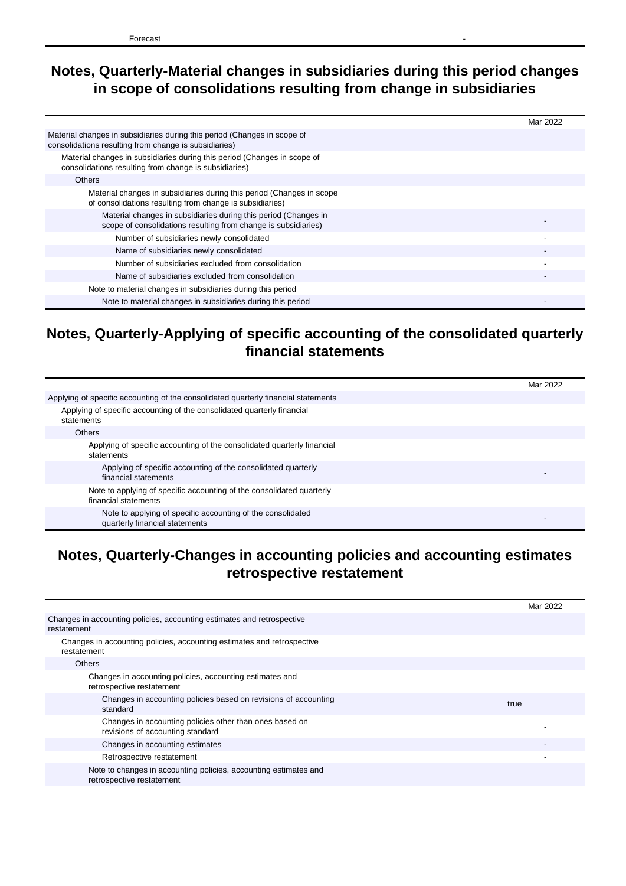## **Notes, Quarterly-Material changes in subsidiaries during this period changes in scope of consolidations resulting from change in subsidiaries**

|                                                                                                                                   | Mar 2022 |
|-----------------------------------------------------------------------------------------------------------------------------------|----------|
| Material changes in subsidiaries during this period (Changes in scope of<br>consolidations resulting from change is subsidiaries) |          |
| Material changes in subsidiaries during this period (Changes in scope of<br>consolidations resulting from change is subsidiaries) |          |
| <b>Others</b>                                                                                                                     |          |
| Material changes in subsidiaries during this period (Changes in scope<br>of consolidations resulting from change is subsidiaries) |          |
| Material changes in subsidiaries during this period (Changes in<br>scope of consolidations resulting from change is subsidiaries) |          |
| Number of subsidiaries newly consolidated                                                                                         |          |
| Name of subsidiaries newly consolidated                                                                                           |          |
| Number of subsidiaries excluded from consolidation                                                                                |          |
| Name of subsidiaries excluded from consolidation                                                                                  |          |
| Note to material changes in subsidiaries during this period                                                                       |          |
| Note to material changes in subsidiaries during this period                                                                       |          |

### **Notes, Quarterly-Applying of specific accounting of the consolidated quarterly financial statements**

|                                                                                               | Mar 2022 |
|-----------------------------------------------------------------------------------------------|----------|
| Applying of specific accounting of the consolidated quarterly financial statements            |          |
| Applying of specific accounting of the consolidated quarterly financial<br>statements         |          |
| <b>Others</b>                                                                                 |          |
| Applying of specific accounting of the consolidated quarterly financial<br>statements         |          |
| Applying of specific accounting of the consolidated quarterly<br>financial statements         |          |
| Note to applying of specific accounting of the consolidated quarterly<br>financial statements |          |
| Note to applying of specific accounting of the consolidated<br>quarterly financial statements |          |

### **Notes, Quarterly-Changes in accounting policies and accounting estimates retrospective restatement**

| Mar 2022 |
|----------|
|          |
|          |
|          |
|          |
| true     |
|          |
|          |
|          |
|          |
|          |